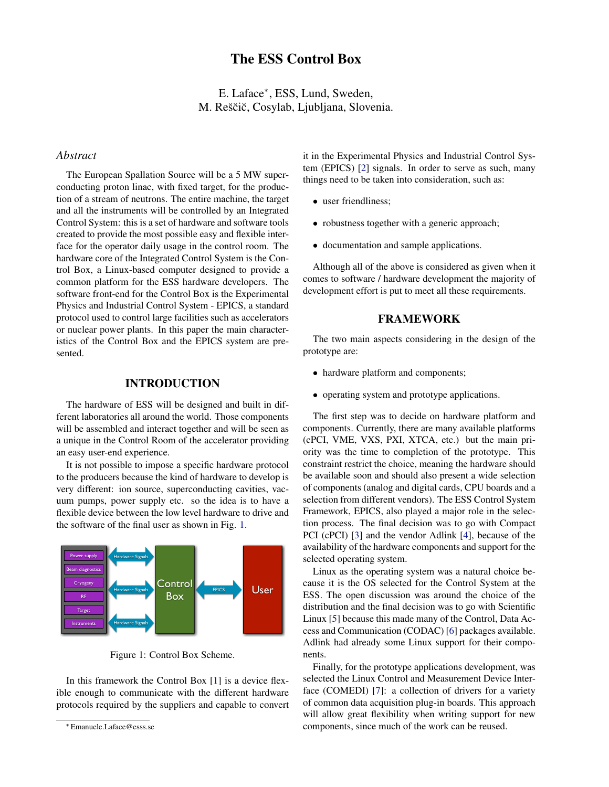# The ESS Control Box

E. Laface<sup>∗</sup> , ESS, Lund, Sweden, M. Reščič, Cosylab, Ljubljana, Slovenia.

#### *Abstract*

The European Spallation Source will be a 5 MW superconducting proton linac, with fixed target, for the production of a stream of neutrons. The entire machine, the target and all the instruments will be controlled by an Integrated Control System: this is a set of hardware and software tools created to provide the most possible easy and flexible interface for the operator daily usage in the control room. The hardware core of the Integrated Control System is the Control Box, a Linux-based computer designed to provide a common platform for the ESS hardware developers. The software front-end for the Control Box is the Experimental Physics and Industrial Control System - EPICS, a standard protocol used to control large facilities such as accelerators or nuclear power plants. In this paper the main characteristics of the Control Box and the EPICS system are presented.

#### INTRODUCTION

The hardware of ESS will be designed and built in different laboratories all around the world. Those components will be assembled and interact together and will be seen as a unique in the Control Room of the accelerator providing an easy user-end experience.

It is not possible to impose a specific hardware protocol to the producers because the kind of hardware to develop is very different: ion source, superconducting cavities, vacuum pumps, power supply etc. so the idea is to have a flexible device between the low level hardware to drive and the software of the final user as shown in Fig. [1.](#page-0-0)



<span id="page-0-0"></span>Figure 1: Control Box Scheme.

In this framework the Control Box [\[1\]](#page-2-0) is a device flexible enough to communicate with the different hardware protocols required by the suppliers and capable to convert it in the Experimental Physics and Industrial Control System (EPICS) [\[2\]](#page-2-1) signals. In order to serve as such, many things need to be taken into consideration, such as:

- user friendliness;
- robustness together with a generic approach;
- documentation and sample applications.

Although all of the above is considered as given when it comes to software / hardware development the majority of development effort is put to meet all these requirements.

#### FRAMEWORK

The two main aspects considering in the design of the prototype are:

- hardware platform and components;
- operating system and prototype applications.

The first step was to decide on hardware platform and components. Currently, there are many available platforms (cPCI, VME, VXS, PXI, XTCA, etc.) but the main priority was the time to completion of the prototype. This constraint restrict the choice, meaning the hardware should be available soon and should also present a wide selection of components (analog and digital cards, CPU boards and a selection from different vendors). The ESS Control System Framework, EPICS, also played a major role in the selection process. The final decision was to go with Compact PCI (cPCI) [\[3\]](#page-2-2) and the vendor Adlink [\[4\]](#page-2-3), because of the availability of the hardware components and support for the selected operating system.

Linux as the operating system was a natural choice because it is the OS selected for the Control System at the ESS. The open discussion was around the choice of the distribution and the final decision was to go with Scientific Linux [\[5\]](#page-2-4) because this made many of the Control, Data Access and Communication (CODAC) [\[6\]](#page-2-5) packages available. Adlink had already some Linux support for their components.

Finally, for the prototype applications development, was selected the Linux Control and Measurement Device Interface (COMEDI) [\[7\]](#page-2-6): a collection of drivers for a variety of common data acquisition plug-in boards. This approach will allow great flexibility when writing support for new components, since much of the work can be reused.

<sup>∗</sup> Emanuele.Laface@esss.se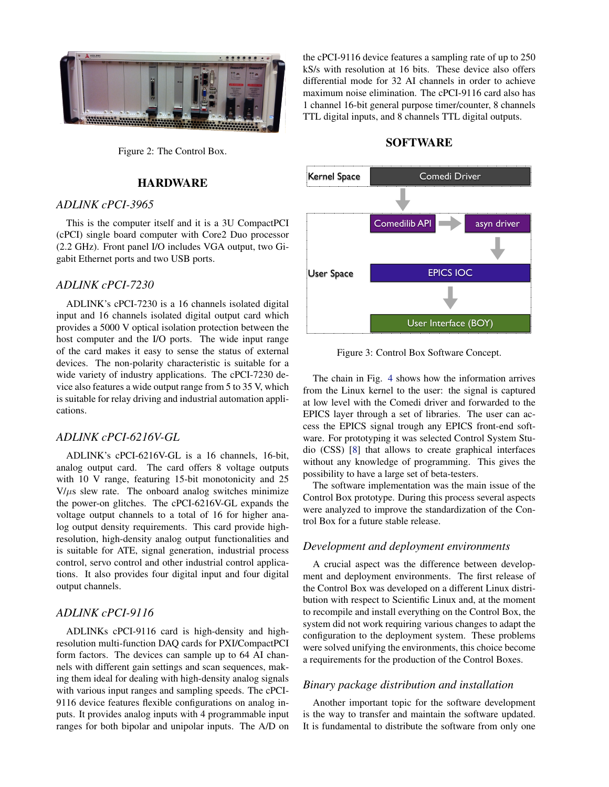

Figure 2: The Control Box.

### HARDWARE

#### *ADLINK cPCI-3965*

This is the computer itself and it is a 3U CompactPCI (cPCI) single board computer with Core2 Duo processor (2.2 GHz). Front panel I/O includes VGA output, two Gigabit Ethernet ports and two USB ports.

#### *ADLINK cPCI-7230*

ADLINK's cPCI-7230 is a 16 channels isolated digital input and 16 channels isolated digital output card which provides a 5000 V optical isolation protection between the host computer and the I/O ports. The wide input range of the card makes it easy to sense the status of external devices. The non-polarity characteristic is suitable for a wide variety of industry applications. The cPCI-7230 device also features a wide output range from 5 to 35 V, which is suitable for relay driving and industrial automation applications.

# *ADLINK cPCI-6216V-GL*

ADLINK's cPCI-6216V-GL is a 16 channels, 16-bit, analog output card. The card offers 8 voltage outputs with 10 V range, featuring 15-bit monotonicity and 25  $V/\mu s$  slew rate. The onboard analog switches minimize the power-on glitches. The cPCI-6216V-GL expands the voltage output channels to a total of 16 for higher analog output density requirements. This card provide highresolution, high-density analog output functionalities and is suitable for ATE, signal generation, industrial process control, servo control and other industrial control applications. It also provides four digital input and four digital output channels.

# *ADLINK cPCI-9116*

ADLINKs cPCI-9116 card is high-density and highresolution multi-function DAQ cards for PXI/CompactPCI form factors. The devices can sample up to 64 AI channels with different gain settings and scan sequences, making them ideal for dealing with high-density analog signals with various input ranges and sampling speeds. The cPCI-9116 device features flexible configurations on analog inputs. It provides analog inputs with 4 programmable input ranges for both bipolar and unipolar inputs. The A/D on the cPCI-9116 device features a sampling rate of up to 250 kS/s with resolution at 16 bits. These device also offers differential mode for 32 AI channels in order to achieve maximum noise elimination. The cPCI-9116 card also has 1 channel 16-bit general purpose timer/counter, 8 channels TTL digital inputs, and 8 channels TTL digital outputs.

# SOFTWARE



Figure 3: Control Box Software Concept.

The chain in Fig. [4](#page-2-7) shows how the information arrives from the Linux kernel to the user: the signal is captured at low level with the Comedi driver and forwarded to the EPICS layer through a set of libraries. The user can access the EPICS signal trough any EPICS front-end software. For prototyping it was selected Control System Studio (CSS) [\[8\]](#page-2-8) that allows to create graphical interfaces without any knowledge of programming. This gives the possibility to have a large set of beta-testers.

The software implementation was the main issue of the Control Box prototype. During this process several aspects were analyzed to improve the standardization of the Control Box for a future stable release.

# *Development and deployment environments*

A crucial aspect was the difference between development and deployment environments. The first release of the Control Box was developed on a different Linux distribution with respect to Scientific Linux and, at the moment to recompile and install everything on the Control Box, the system did not work requiring various changes to adapt the configuration to the deployment system. These problems were solved unifying the environments, this choice become a requirements for the production of the Control Boxes.

#### *Binary package distribution and installation*

Another important topic for the software development is the way to transfer and maintain the software updated. It is fundamental to distribute the software from only one